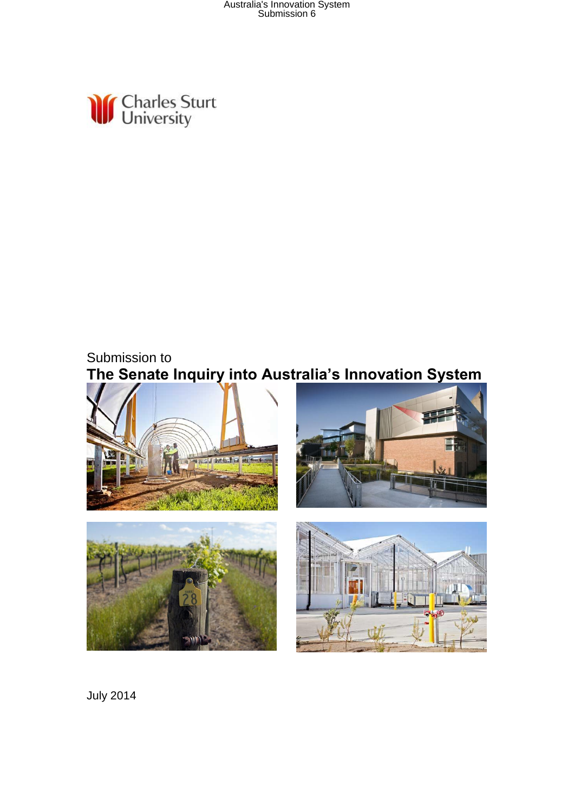Australia's Innovation System Submission 6



### Submission to **The Senate Inquiry into Australia's Innovation System**



July 2014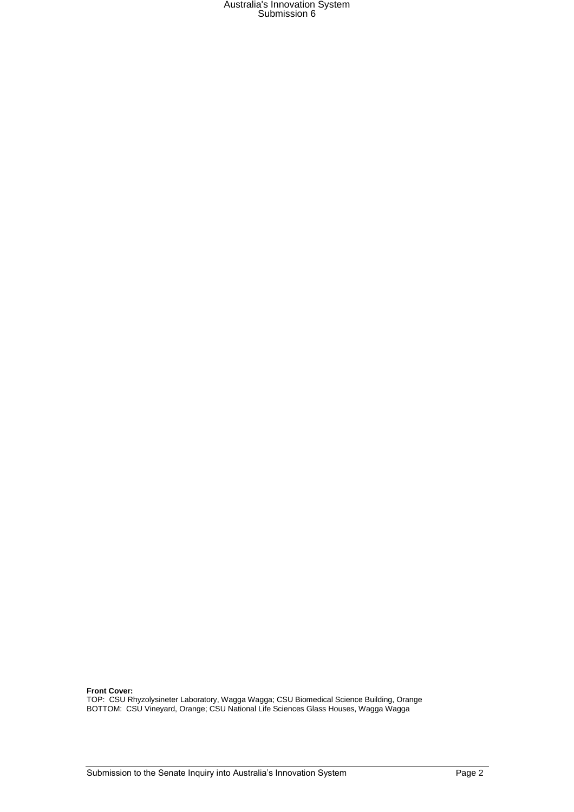# Australia's Innovation System Submission 6

#### **Front Cover:**

TOP: CSU Rhyzolysineter Laboratory, Wagga Wagga; CSU Biomedical Science Building, Orange BOTTOM: CSU Vineyard, Orange; CSU National Life Sciences Glass Houses, Wagga Wagga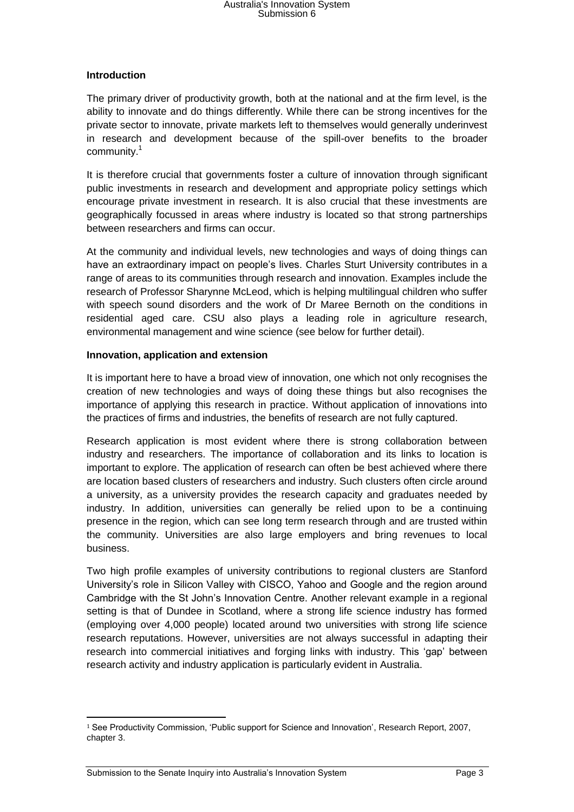## Australia's Innovation System Submission 6

### **Introduction**

The primary driver of productivity growth, both at the national and at the firm level, is the ability to innovate and do things differently. While there can be strong incentives for the private sector to innovate, private markets left to themselves would generally underinvest in research and development because of the spill-over benefits to the broader community.<sup>1</sup>

It is therefore crucial that governments foster a culture of innovation through significant public investments in research and development and appropriate policy settings which encourage private investment in research. It is also crucial that these investments are geographically focussed in areas where industry is located so that strong partnerships between researchers and firms can occur.

At the community and individual levels, new technologies and ways of doing things can have an extraordinary impact on people's lives. Charles Sturt University contributes in a range of areas to its communities through research and innovation. Examples include the research of Professor Sharynne McLeod, which is helping multilingual children who suffer with speech sound disorders and the work of Dr Maree Bernoth on the conditions in residential aged care. CSU also plays a leading role in agriculture research, environmental management and wine science (see below for further detail).

#### **Innovation, application and extension**

It is important here to have a broad view of innovation, one which not only recognises the creation of new technologies and ways of doing these things but also recognises the importance of applying this research in practice. Without application of innovations into the practices of firms and industries, the benefits of research are not fully captured.

Research application is most evident where there is strong collaboration between industry and researchers. The importance of collaboration and its links to location is important to explore. The application of research can often be best achieved where there are location based clusters of researchers and industry. Such clusters often circle around a university, as a university provides the research capacity and graduates needed by industry. In addition, universities can generally be relied upon to be a continuing presence in the region, which can see long term research through and are trusted within the community. Universities are also large employers and bring revenues to local business.

Two high profile examples of university contributions to regional clusters are Stanford University's role in Silicon Valley with CISCO, Yahoo and Google and the region around Cambridge with the St John's Innovation Centre. Another relevant example in a regional setting is that of Dundee in Scotland, where a strong life science industry has formed (employing over 4,000 people) located around two universities with strong life science research reputations. However, universities are not always successful in adapting their research into commercial initiatives and forging links with industry. This 'gap' between research activity and industry application is particularly evident in Australia.

 $\overline{a}$ <sup>1</sup> See Productivity Commission, 'Public support for Science and Innovation', Research Report, 2007, chapter 3.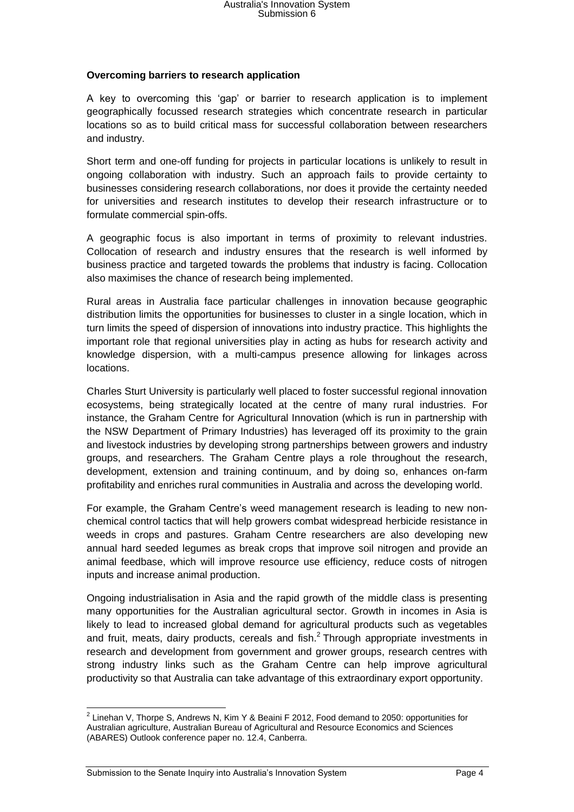### **Overcoming barriers to research application**

A key to overcoming this 'gap' or barrier to research application is to implement geographically focussed research strategies which concentrate research in particular locations so as to build critical mass for successful collaboration between researchers and industry.

Short term and one-off funding for projects in particular locations is unlikely to result in ongoing collaboration with industry. Such an approach fails to provide certainty to businesses considering research collaborations, nor does it provide the certainty needed for universities and research institutes to develop their research infrastructure or to formulate commercial spin-offs.

A geographic focus is also important in terms of proximity to relevant industries. Collocation of research and industry ensures that the research is well informed by business practice and targeted towards the problems that industry is facing. Collocation also maximises the chance of research being implemented.

Rural areas in Australia face particular challenges in innovation because geographic distribution limits the opportunities for businesses to cluster in a single location, which in turn limits the speed of dispersion of innovations into industry practice. This highlights the important role that regional universities play in acting as hubs for research activity and knowledge dispersion, with a multi-campus presence allowing for linkages across locations.

Charles Sturt University is particularly well placed to foster successful regional innovation ecosystems, being strategically located at the centre of many rural industries. For instance, the Graham Centre for Agricultural Innovation (which is run in partnership with the NSW Department of Primary Industries) has leveraged off its proximity to the grain and livestock industries by developing strong partnerships between growers and industry groups, and researchers. The Graham Centre plays a role throughout the research, development, extension and training continuum, and by doing so, enhances on-farm profitability and enriches rural communities in Australia and across the developing world.

For example, the Graham Centre's weed management research is leading to new nonchemical control tactics that will help growers combat widespread herbicide resistance in weeds in crops and pastures. Graham Centre researchers are also developing new annual hard seeded legumes as break crops that improve soil nitrogen and provide an animal feedbase, which will improve resource use efficiency, reduce costs of nitrogen inputs and increase animal production.

Ongoing industrialisation in Asia and the rapid growth of the middle class is presenting many opportunities for the Australian agricultural sector. Growth in incomes in Asia is likely to lead to increased global demand for agricultural products such as vegetables and fruit, meats, dairy products, cereals and fish. $<sup>2</sup>$  Through appropriate investments in</sup> research and development from government and grower groups, research centres with strong industry links such as the Graham Centre can help improve agricultural productivity so that Australia can take advantage of this extraordinary export opportunity.

 2 Linehan V, Thorpe S, Andrews N, Kim Y & Beaini F 2012, Food demand to 2050: opportunities for Australian agriculture, Australian Bureau of Agricultural and Resource Economics and Sciences (ABARES) Outlook conference paper no. 12.4, Canberra.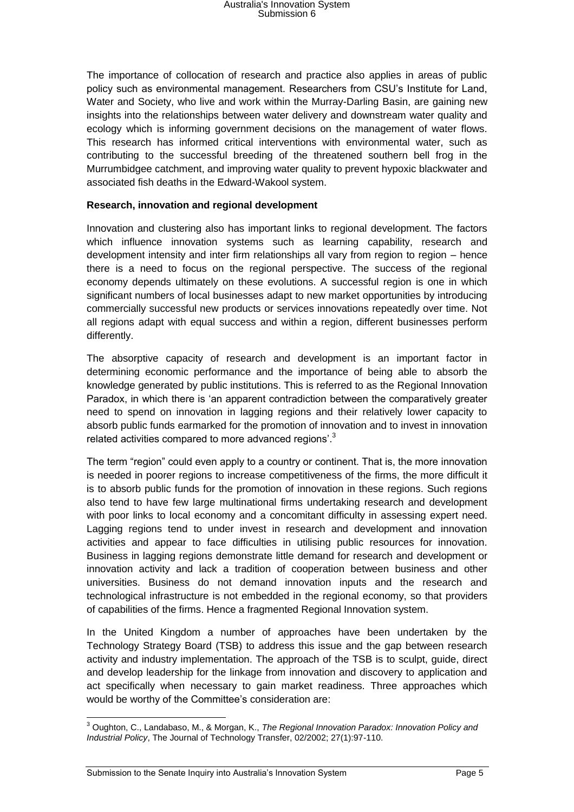The importance of collocation of research and practice also applies in areas of public policy such as environmental management. Researchers from CSU's Institute for Land, Water and Society, who live and work within the Murray-Darling Basin, are gaining new insights into the relationships between water delivery and downstream water quality and ecology which is informing government decisions on the management of water flows. This research has informed critical interventions with environmental water, such as contributing to the successful breeding of the threatened southern bell frog in the Murrumbidgee catchment, and improving water quality to prevent hypoxic blackwater and associated fish deaths in the Edward-Wakool system.

#### **Research, innovation and regional development**

Innovation and clustering also has important links to regional development. The factors which influence innovation systems such as learning capability, research and development intensity and inter firm relationships all vary from region to region – hence there is a need to focus on the regional perspective. The success of the regional economy depends ultimately on these evolutions. A successful region is one in which significant numbers of local businesses adapt to new market opportunities by introducing commercially successful new products or services innovations repeatedly over time. Not all regions adapt with equal success and within a region, different businesses perform differently.

The absorptive capacity of research and development is an important factor in determining economic performance and the importance of being able to absorb the knowledge generated by public institutions. This is referred to as the Regional Innovation Paradox, in which there is 'an apparent contradiction between the comparatively greater need to spend on innovation in lagging regions and their relatively lower capacity to absorb public funds earmarked for the promotion of innovation and to invest in innovation related activities compared to more advanced regions'.<sup>3</sup>

The term "region" could even apply to a country or continent. That is, the more innovation is needed in poorer regions to increase competitiveness of the firms, the more difficult it is to absorb public funds for the promotion of innovation in these regions. Such regions also tend to have few large multinational firms undertaking research and development with poor links to local economy and a concomitant difficulty in assessing expert need. Lagging regions tend to under invest in research and development and innovation activities and appear to face difficulties in utilising public resources for innovation. Business in lagging regions demonstrate little demand for research and development or innovation activity and lack a tradition of cooperation between business and other universities. Business do not demand innovation inputs and the research and technological infrastructure is not embedded in the regional economy, so that providers of capabilities of the firms. Hence a fragmented Regional Innovation system.

In the United Kingdom a number of approaches have been undertaken by the Technology Strategy Board (TSB) to address this issue and the gap between research activity and industry implementation. The approach of the TSB is to sculpt, guide, direct and develop leadership for the linkage from innovation and discovery to application and act specifically when necessary to gain market readiness. Three approaches which would be worthy of the Committee's consideration are:

 $\overline{\phantom{a}}$ <sup>3</sup> Oughton, C., Landabaso, M., & Morgan, K., *The Regional Innovation Paradox: Innovation Policy and Industrial Policy*, The Journal of Technology Transfer, 02/2002; 27(1):97-110.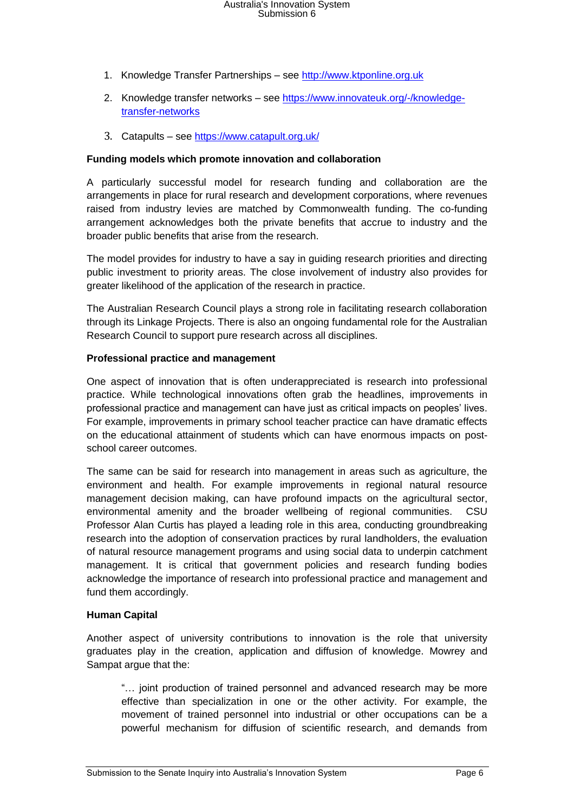- 1. Knowledge Transfer Partnerships see [http://www.ktponline.org.uk](http://www.ktponline.org.uk/)
- 2. Knowledge transfer networks see [https://www.innovateuk.org/-/knowledge](https://www.innovateuk.org/-/knowledge-transfer-networks)[transfer-networks](https://www.innovateuk.org/-/knowledge-transfer-networks)
- 3. Catapults see<https://www.catapult.org.uk/>

#### **Funding models which promote innovation and collaboration**

A particularly successful model for research funding and collaboration are the arrangements in place for rural research and development corporations, where revenues raised from industry levies are matched by Commonwealth funding. The co-funding arrangement acknowledges both the private benefits that accrue to industry and the broader public benefits that arise from the research.

The model provides for industry to have a say in guiding research priorities and directing public investment to priority areas. The close involvement of industry also provides for greater likelihood of the application of the research in practice.

The Australian Research Council plays a strong role in facilitating research collaboration through its Linkage Projects. There is also an ongoing fundamental role for the Australian Research Council to support pure research across all disciplines.

#### **Professional practice and management**

One aspect of innovation that is often underappreciated is research into professional practice. While technological innovations often grab the headlines, improvements in professional practice and management can have just as critical impacts on peoples' lives. For example, improvements in primary school teacher practice can have dramatic effects on the educational attainment of students which can have enormous impacts on postschool career outcomes.

The same can be said for research into management in areas such as agriculture, the environment and health. For example improvements in regional natural resource management decision making, can have profound impacts on the agricultural sector, environmental amenity and the broader wellbeing of regional communities. CSU Professor Alan Curtis has played a leading role in this area, conducting groundbreaking research into the adoption of conservation practices by rural landholders, the evaluation of natural resource management programs and using social data to underpin catchment management. It is critical that government policies and research funding bodies acknowledge the importance of research into professional practice and management and fund them accordingly.

#### **Human Capital**

Another aspect of university contributions to innovation is the role that university graduates play in the creation, application and diffusion of knowledge. Mowrey and Sampat argue that the:

"… joint production of trained personnel and advanced research may be more effective than specialization in one or the other activity. For example, the movement of trained personnel into industrial or other occupations can be a powerful mechanism for diffusion of scientific research, and demands from